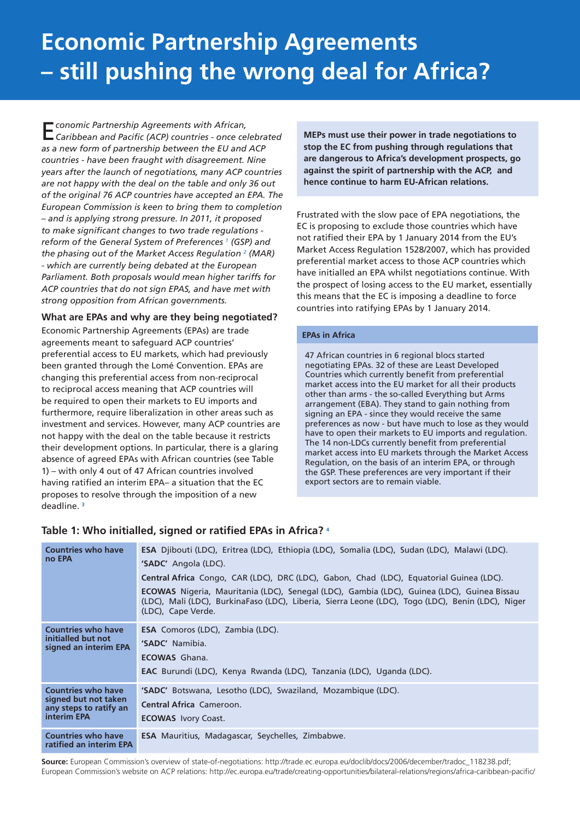# **Economic Partnership Agreements – still pushing the wrong deal for Africa?**

E*conomic Partnership Agreements with African, Caribbean and Pacific (ACP) countries - once celebrated as a new form of partnership between the EU and ACP countries - have been fraught with disagreement. Nine years after the launch of negotiations, many ACP countries are not happy with the deal on the table and only 36 out of the original 76 ACP countries have accepted an EPA. The European Commission is keen to bring them to completion – and is applying strong pressure. In 2011, it proposed to make significant changes to two trade regulations reform of the General System of Preferences 1 (GSP) and the phasing out of the Market Access Regulation 2 (MAR) - which are currently being debated at the European Parliament. Both proposals would mean higher tariffs for ACP countries that do not sign EPAS, and have met with strong opposition from African governments.* 

#### **What are EPAs and why are they being negotiated?**

Economic Partnership Agreements (EPAs) are trade agreements meant to safeguard ACP countries' preferential access to EU markets, which had previously been granted through the Lomé Convention. EPAs are changing this preferential access from non-reciprocal to reciprocal access meaning that ACP countries will be required to open their markets to EU imports and furthermore, require liberalization in other areas such as investment and services. However, many ACP countries are not happy with the deal on the table because it restricts their development options. In particular, there is a glaring absence of agreed EPAs with African countries (see Table 1) – with only 4 out of 47 African countries involved having ratified an interim EPA– a situation that the EC proposes to resolve through the imposition of a new deadline. **<sup>3</sup>**

**MEPs must use their power in trade negotiations to stop the EC from pushing through regulations that are dangerous to Africa's development prospects, go against the spirit of partnership with the ACP, and hence continue to harm EU-African relations.**

Frustrated with the slow pace of EPA negotiations, the EC is proposing to exclude those countries which have not ratified their EPA by 1 January 2014 from the EU's Market Access Regulation 1528/2007, which has provided preferential market access to those ACP countries which have initialled an EPA whilst negotiations continue. With the prospect of losing access to the EU market, essentially this means that the EC is imposing a deadline to force countries into ratifying EPAs by 1 January 2014.

#### **EPAs in Africa**

47 African countries in 6 regional blocs started negotiating EPAs. 32 of these are Least Developed Countries which currently benefit from preferential market access into the EU market for all their products other than arms - the so-called Everything but Arms arrangement (EBA). They stand to gain nothing from signing an EPA - since they would receive the same preferences as now - but have much to lose as they would have to open their markets to EU imports and regulation. The 14 non-LDCs currently benefit from preferential market access into EU markets through the Market Access Regulation, on the basis of an interim EPA, or through the GSP. These preferences are very important if their export sectors are to remain viable.

| <b>Countries who have</b><br>no EPA                                                               | <b>ESA</b> Djibouti (LDC), Eritrea (LDC), Ethiopia (LDC), Somalia (LDC), Sudan (LDC), Malawi (LDC).<br>'SADC' Angola (LDC).<br><b>Central Africa</b> Congo, CAR (LDC), DRC (LDC), Gabon, Chad (LDC), Equatorial Guinea (LDC).<br><b>ECOWAS</b> Nigeria, Mauritania (LDC), Senegal (LDC), Gambia (LDC), Guinea (LDC), Guinea Bissau<br>(LDC), Mali (LDC), BurkinaFaso (LDC), Liberia, Sierra Leone (LDC), Togo (LDC), Benin (LDC), Niger<br>(LDC), Cape Verde. |  |  |  |
|---------------------------------------------------------------------------------------------------|---------------------------------------------------------------------------------------------------------------------------------------------------------------------------------------------------------------------------------------------------------------------------------------------------------------------------------------------------------------------------------------------------------------------------------------------------------------|--|--|--|
| <b>Countries who have</b><br>initialled but not<br>signed an interim EPA                          | <b>ESA</b> Comoros (LDC), Zambia (LDC).<br>'SADC' Namibia.<br><b>ECOWAS</b> Ghana.<br><b>EAC</b> Burundi (LDC), Kenya Rwanda (LDC), Tanzania (LDC), Uganda (LDC).                                                                                                                                                                                                                                                                                             |  |  |  |
| <b>Countries who have</b><br>signed but not taken<br>any steps to ratify an<br><b>interim EPA</b> | 'SADC' Botswana, Lesotho (LDC), Swaziland, Mozambique (LDC).<br><b>Central Africa Cameroon.</b><br><b>ECOWAS</b> Ivory Coast.                                                                                                                                                                                                                                                                                                                                 |  |  |  |
| <b>Countries who have</b><br>ratified an interim EPA                                              | <b>ESA</b> Mauritius, Madagascar, Seychelles, Zimbabwe.                                                                                                                                                                                                                                                                                                                                                                                                       |  |  |  |

### **Table 1: Who initialled, signed or ratified EPAs in Africa? 4**

**Source:** European Commission's overview of state-of-negotiations: http://trade.ec.europa.eu/doclib/docs/2006/december/tradoc\_118238.pdf; European Commission's website on ACP relations: http://ec.europa.eu/trade/creating-opportunities/bilateral-relations/regions/africa-caribbean-pacific/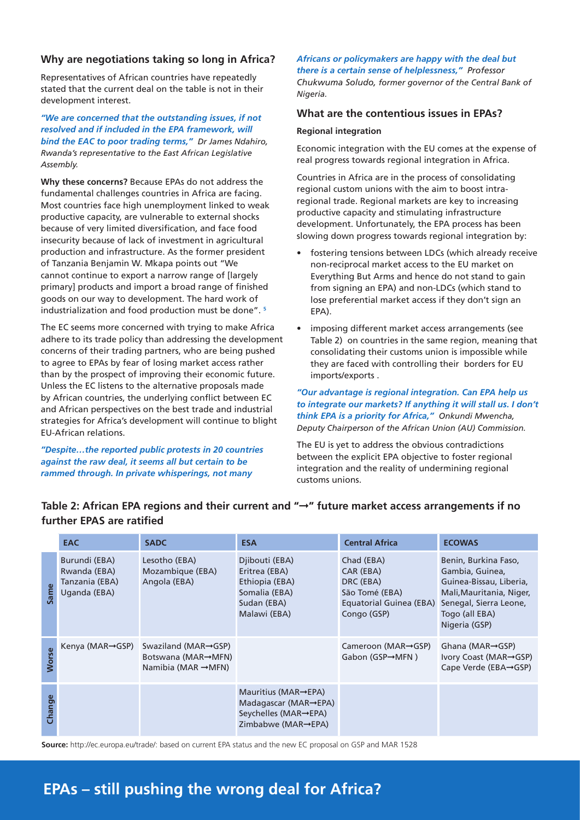# **Why are negotiations taking so long in Africa?**

Representatives of African countries have repeatedly stated that the current deal on the table is not in their development interest.

*"We are concerned that the outstanding issues, if not resolved and if included in the EPA framework, will bind the EAC to poor trading terms," Dr James Ndahiro, Rwanda's representative to the East African Legislative Assembly.*

**Why these concerns?** Because EPAs do not address the fundamental challenges countries in Africa are facing. Most countries face high unemployment linked to weak productive capacity, are vulnerable to external shocks because of very limited diversification, and face food insecurity because of lack of investment in agricultural production and infrastructure. As the former president of Tanzania Benjamin W. Mkapa points out "We cannot continue to export a narrow range of [largely primary] products and import a broad range of finished goods on our way to development. The hard work of industrialization and food production must be done". **<sup>5</sup>**

The EC seems more concerned with trying to make Africa adhere to its trade policy than addressing the development concerns of their trading partners, who are being pushed to agree to EPAs by fear of losing market access rather than by the prospect of improving their economic future. Unless the EC listens to the alternative proposals made by African countries, the underlying conflict between EC and African perspectives on the best trade and industrial strategies for Africa's development will continue to blight EU-African relations.

*"Despite…the reported public protests in 20 countries against the raw deal, it seems all but certain to be rammed through. In private whisperings, not many* 

#### *Africans or policymakers are happy with the deal but there is a certain sense of helplessness," Professor*

*Chukwuma Soludo, former governor of the Central Bank of Nigeria.*

# **What are the contentious issues in EPAs?**

#### **Regional integration**

Economic integration with the EU comes at the expense of real progress towards regional integration in Africa.

Countries in Africa are in the process of consolidating regional custom unions with the aim to boost intraregional trade. Regional markets are key to increasing productive capacity and stimulating infrastructure development. Unfortunately, the EPA process has been slowing down progress towards regional integration by:

- fostering tensions between LDCs (which already receive non-reciprocal market access to the EU market on Everything But Arms and hence do not stand to gain from signing an EPA) and non-LDCs (which stand to lose preferential market access if they don't sign an EPA).
- imposing different market access arrangements (see Table 2) on countries in the same region, meaning that consolidating their customs union is impossible while they are faced with controlling their borders for EU imports/exports .

*"Our advantage is regional integration. Can EPA help us to integrate our markets? If anything it will stall us. I don't think EPA is a priority for Africa," Onkundi Mwencha, Deputy Chairperson of the African Union (AU) Commission.*

The EU is yet to address the obvious contradictions between the explicit EPA objective to foster regional integration and the reality of undermining regional customs unions.

|              | <b>EAC</b>                                                      | <b>SADC</b>                                                                  | <b>ESA</b>                                                                                                            | <b>Central Africa</b>                                                                            | <b>ECOWAS</b>                                                                                                                                               |
|--------------|-----------------------------------------------------------------|------------------------------------------------------------------------------|-----------------------------------------------------------------------------------------------------------------------|--------------------------------------------------------------------------------------------------|-------------------------------------------------------------------------------------------------------------------------------------------------------------|
| Same         | Burundi (EBA)<br>Rwanda (EBA)<br>Tanzania (EBA)<br>Uganda (EBA) | Lesotho (EBA)<br>Mozambique (EBA)<br>Angola (EBA)                            | Djibouti (EBA)<br>Eritrea (EBA)<br>Ethiopia (EBA)<br>Somalia (EBA)<br>Sudan (EBA)<br>Malawi (EBA)                     | Chad (EBA)<br>CAR (EBA)<br>DRC (EBA)<br>São Tomé (EBA)<br>Equatorial Guinea (EBA)<br>Congo (GSP) | Benin, Burkina Faso,<br>Gambia, Guinea,<br>Guinea-Bissau, Liberia,<br>Mali, Mauritania, Niger,<br>Senegal, Sierra Leone,<br>Togo (all EBA)<br>Nigeria (GSP) |
| <b>Worse</b> | Kenya (MAR $\rightarrow$ GSP)                                   | Swaziland (MAR→GSP)<br>Botswana (MAR→MFN)<br>Namibia (MAR $\rightarrow$ MFN) |                                                                                                                       | Cameroon (MAR→GSP)<br>Gabon (GSP→MFN)                                                            | Ghana (MAR $\rightarrow$ GSP)<br>Ivory Coast (MAR→GSP)<br>Cape Verde (EBA→GSP)                                                                              |
| Change       |                                                                 |                                                                              | Mauritius (MAR $\rightarrow$ EPA)<br>Madagascar (MAR $\rightarrow$ EPA)<br>Seychelles (MAR→EPA)<br>Zimbabwe (MAR→EPA) |                                                                                                  |                                                                                                                                                             |

# **Table 2: African EPA regions and their current and "**➞**" future market access arrangements if no further EPAS are ratified**

**Source:** http://ec.europa.eu/trade/: based on current EPA status and the new EC proposal on GSP and MAR 1528

# **EPAs – still pushing the wrong deal for Africa?**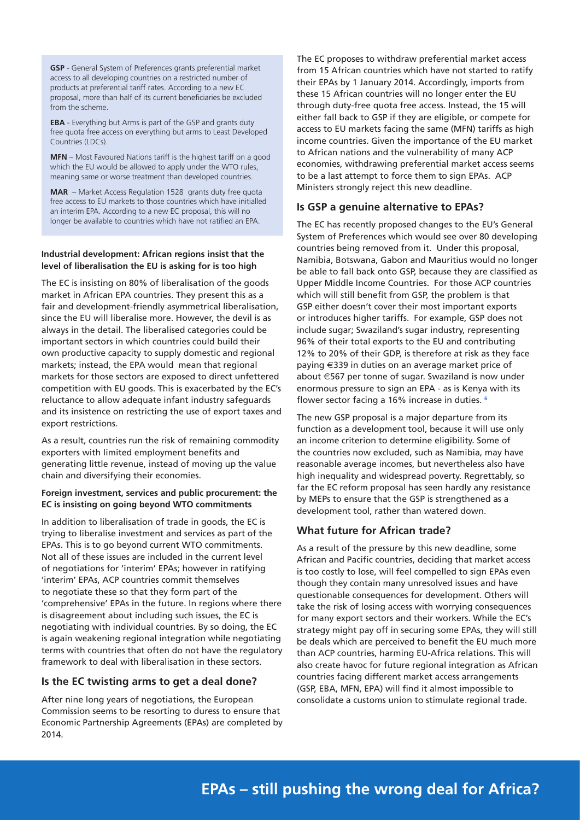**GSP** - General System of Preferences grants preferential market access to all developing countries on a restricted number of products at preferential tariff rates. According to a new EC proposal, more than half of its current beneficiaries be excluded from the scheme.

**EBA** - Everything but Arms is part of the GSP and grants duty free quota free access on everything but arms to Least Developed Countries (LDCs).

**MFN** – Most Favoured Nations tariff is the highest tariff on a good which the EU would be allowed to apply under the WTO rules, meaning same or worse treatment than developed countries.

**MAR** – Market Access Regulation 1528 grants duty free quota free access to EU markets to those countries which have initialled an interim EPA. According to a new EC proposal, this will no longer be available to countries which have not ratified an EPA.

#### **Industrial development: African regions insist that the level of liberalisation the EU is asking for is too high**

The EC is insisting on 80% of liberalisation of the goods market in African EPA countries. They present this as a fair and development-friendly asymmetrical liberalisation, since the EU will liberalise more. However, the devil is as always in the detail. The liberalised categories could be important sectors in which countries could build their own productive capacity to supply domestic and regional markets; instead, the EPA would mean that regional markets for those sectors are exposed to direct unfettered competition with EU goods. This is exacerbated by the EC's reluctance to allow adequate infant industry safeguards and its insistence on restricting the use of export taxes and export restrictions.

As a result, countries run the risk of remaining commodity exporters with limited employment benefits and generating little revenue, instead of moving up the value chain and diversifying their economies.

#### **Foreign investment, services and public procurement: the EC is insisting on going beyond WTO commitments**

In addition to liberalisation of trade in goods, the EC is trying to liberalise investment and services as part of the EPAs. This is to go beyond current WTO commitments. Not all of these issues are included in the current level of negotiations for 'interim' EPAs; however in ratifying 'interim' EPAs, ACP countries commit themselves to negotiate these so that they form part of the 'comprehensive' EPAs in the future. In regions where there is disagreement about including such issues, the EC is negotiating with individual countries. By so doing, the EC is again weakening regional integration while negotiating terms with countries that often do not have the regulatory framework to deal with liberalisation in these sectors.

# **Is the EC twisting arms to get a deal done?**

After nine long years of negotiations, the European Commission seems to be resorting to duress to ensure that Economic Partnership Agreements (EPAs) are completed by 2014.

The EC proposes to withdraw preferential market access from 15 African countries which have not started to ratify their EPAs by 1 January 2014. Accordingly, imports from these 15 African countries will no longer enter the EU through duty-free quota free access. Instead, the 15 will either fall back to GSP if they are eligible, or compete for access to EU markets facing the same (MFN) tariffs as high income countries. Given the importance of the EU market to African nations and the vulnerability of many ACP economies, withdrawing preferential market access seems to be a last attempt to force them to sign EPAs. ACP Ministers strongly reject this new deadline.

## **Is GSP a genuine alternative to EPAs?**

The EC has recently proposed changes to the EU's General System of Preferences which would see over 80 developing countries being removed from it. Under this proposal, Namibia, Botswana, Gabon and Mauritius would no longer be able to fall back onto GSP, because they are classified as Upper Middle Income Countries. For those ACP countries which will still benefit from GSP, the problem is that GSP either doesn't cover their most important exports or introduces higher tariffs. For example, GSP does not include sugar; Swaziland's sugar industry, representing 96% of their total exports to the EU and contributing 12% to 20% of their GDP, is therefore at risk as they face paying €339 in duties on an average market price of about €567 per tonne of sugar. Swaziland is now under enormous pressure to sign an EPA - as is Kenya with its flower sector facing a 16% increase in duties. **<sup>6</sup>**

The new GSP proposal is a major departure from its function as a development tool, because it will use only an income criterion to determine eligibility. Some of the countries now excluded, such as Namibia, may have reasonable average incomes, but nevertheless also have high inequality and widespread poverty. Regrettably, so far the EC reform proposal has seen hardly any resistance by MEPs to ensure that the GSP is strengthened as a development tool, rather than watered down.

# **What future for African trade?**

As a result of the pressure by this new deadline, some African and Pacific countries, deciding that market access is too costly to lose, will feel compelled to sign EPAs even though they contain many unresolved issues and have questionable consequences for development. Others will take the risk of losing access with worrying consequences for many export sectors and their workers. While the EC's strategy might pay off in securing some EPAs, they will still be deals which are perceived to benefit the EU much more than ACP countries, harming EU-Africa relations. This will also create havoc for future regional integration as African countries facing different market access arrangements (GSP, EBA, MFN, EPA) will find it almost impossible to consolidate a customs union to stimulate regional trade.